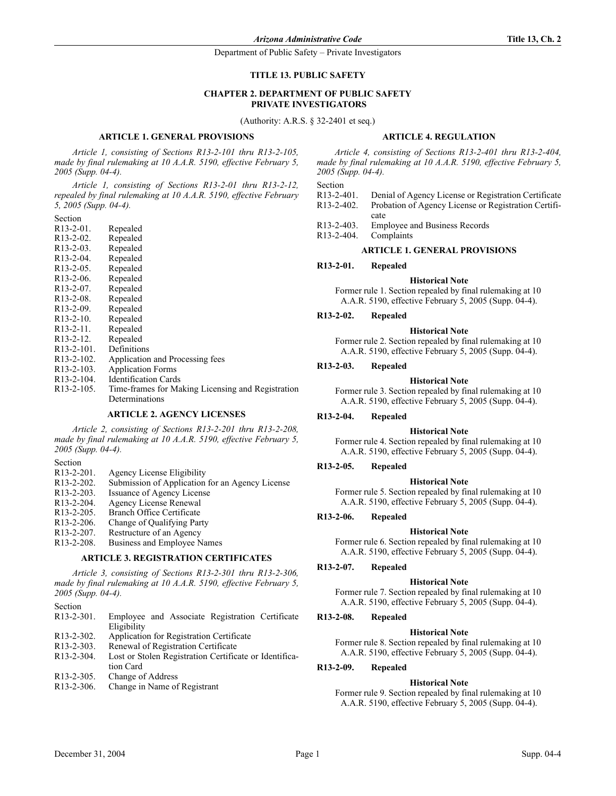#### **TITLE 13. PUBLIC SAFETY**

# **CHAPTER 2. DEPARTMENT OF PUBLIC SAFETY PRIVATE INVESTIGATORS**

(Authority: A.R.S. § 32-2401 et seq.)

### **ARTICLE 1. GENERAL PROVISIONS**

*Article 1, consisting of Sections R13-2-101 thru R13-2-105, made by final rulemaking at 10 A.A.R. 5190, effective February 5, 2005 (Supp. 04-4).*

*Article 1, consisting of Sections R13-2-01 thru R13-2-12, repealed by final rulemaking at 10 A.A.R. 5190, effective February 5, 2005 (Supp. 04-4).*

Section

| $R13-2-01$ .            | Repealed                        |
|-------------------------|---------------------------------|
| $R13-2-02$ .            | Repealed                        |
| R13-2-03.               | Repealed                        |
| $R13-2-04$ .            | Repealed                        |
| R <sub>13</sub> -2-05.  | Repealed                        |
| $R13-2-06$ .            | Repealed                        |
| R <sub>13</sub> -2-07.  | Repealed                        |
| R <sub>13</sub> -2-08.  | Repealed                        |
| R <sub>13</sub> -2-09.  | Repealed                        |
| $R13-2-10$ .            | Repealed                        |
| R <sub>13</sub> -2-11.  | Repealed                        |
| R <sub>13</sub> -2-12.  | Repealed                        |
| $R13-2-101$ .           | Definitions                     |
| R <sub>13</sub> -2-102. | Application and Processing fees |
| R <sub>13</sub> -2-103. | <b>Application Forms</b>        |
| R <sub>13</sub> -2-104. | <b>Identification Cards</b>     |
| R <sub>13</sub> -2-105. | Time-frames for Making Licens   |

Making Licensing and Registration Determinations

### **ARTICLE 2. AGENCY LICENSES**

*Article 2, consisting of Sections R13-2-201 thru R13-2-208, made by final rulemaking at 10 A.A.R. 5190, effective February 5, 2005 (Supp. 04-4).*

### Section

- R13-2-201. Agency License Eligibility<br>R13-2-202. Submission of Application
- Submission of Application for an Agency License
- R13-2-203. Issuance of Agency License<br>R13-2-204. Agency License Renewal
- R13-2-204. Agency License Renewal<br>R13-2-205. Branch Office Certificate
- Branch Office Certificate
- R13-2-206. Change of Qualifying Party
- 
- R13-2-207. Restructure of an Agency<br>R13-2-208. Business and Employee N Business and Employee Names

### **ARTICLE 3. REGISTRATION CERTIFICATES**

*Article 3, consisting of Sections R13-2-301 thru R13-2-306, made by final rulemaking at 10 A.A.R. 5190, effective February 5, 2005 (Supp. 04-4).*

Section

- R13-2-301. Employee and Associate Registration Certificate Eligibility
- R13-2-302. Application for Registration Certificate
- R13-2-303. Renewal of Registration Certificate
- R13-2-304. Lost or Stolen Registration Certificate or Identification Card
- R13-2-305. Change of Address
- R13-2-306. Change in Name of Registrant

#### **ARTICLE 4. REGULATION**

*Article 4, consisting of Sections R13-2-401 thru R13-2-404, made by final rulemaking at 10 A.A.R. 5190, effective February 5, 2005 (Supp. 04-4).*

Section

- R13-2-401. Denial of Agency License or Registration Certificate<br>R13-2-402. Probation of Agency License or Registration Certifi-Probation of Agency License or Registration Certificate
- R13-2-403. Employee and Business Records
- R13-2-404. Complaints

#### **ARTICLE 1. GENERAL PROVISIONS**

### **R13-2-01. Repealed**

**Historical Note**

Former rule 1. Section repealed by final rulemaking at 10 A.A.R. 5190, effective February 5, 2005 (Supp. 04-4).

### **R13-2-02. Repealed**

#### **Historical Note**

Former rule 2. Section repealed by final rulemaking at 10 A.A.R. 5190, effective February 5, 2005 (Supp. 04-4).

#### **R13-2-03. Repealed**

**Historical Note**

Former rule 3. Section repealed by final rulemaking at 10 A.A.R. 5190, effective February 5, 2005 (Supp. 04-4).

#### **R13-2-04. Repealed**

#### **Historical Note**

Former rule 4. Section repealed by final rulemaking at 10 A.A.R. 5190, effective February 5, 2005 (Supp. 04-4).

#### **R13-2-05. Repealed**

#### **Historical Note**

Former rule 5. Section repealed by final rulemaking at 10 A.A.R. 5190, effective February 5, 2005 (Supp. 04-4).

#### **R13-2-06. Repealed**

#### **Historical Note**

Former rule 6. Section repealed by final rulemaking at 10 A.A.R. 5190, effective February 5, 2005 (Supp. 04-4).

#### **R13-2-07. Repealed**

### **Historical Note**

Former rule 7. Section repealed by final rulemaking at 10 A.A.R. 5190, effective February 5, 2005 (Supp. 04-4).

#### **R13-2-08. Repealed**

#### **Historical Note**

Former rule 8. Section repealed by final rulemaking at 10 A.A.R. 5190, effective February 5, 2005 (Supp. 04-4).

#### **R13-2-09. Repealed**

#### **Historical Note**

Former rule 9. Section repealed by final rulemaking at 10 A.A.R. 5190, effective February 5, 2005 (Supp. 04-4).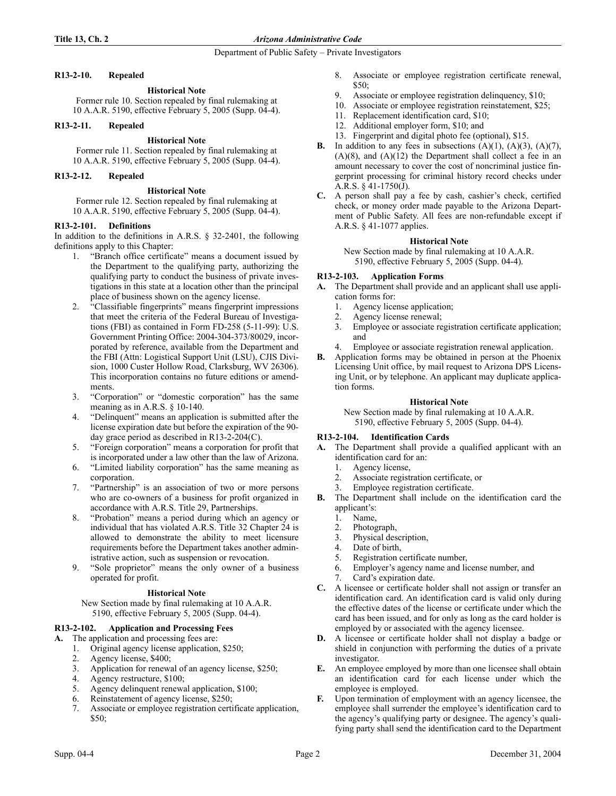# **R13-2-10. Repealed**

# **Historical Note**

Former rule 10. Section repealed by final rulemaking at 10 A.A.R. 5190, effective February 5, 2005 (Supp. 04-4).

### **R13-2-11. Repealed**

# **Historical Note**

Former rule 11. Section repealed by final rulemaking at 10 A.A.R. 5190, effective February 5, 2005 (Supp. 04-4).

## **R13-2-12. Repealed**

# **Historical Note**

Former rule 12. Section repealed by final rulemaking at 10 A.A.R. 5190, effective February 5, 2005 (Supp. 04-4).

# **R13-2-101. Definitions**

In addition to the definitions in A.R.S. § 32-2401, the following definitions apply to this Chapter:

- 1. "Branch office certificate" means a document issued by the Department to the qualifying party, authorizing the qualifying party to conduct the business of private investigations in this state at a location other than the principal place of business shown on the agency license.
- 2. "Classifiable fingerprints" means fingerprint impressions that meet the criteria of the Federal Bureau of Investigations (FBI) as contained in Form FD-258 (5-11-99): U.S. Government Printing Office: 2004-304-373/80029, incorporated by reference, available from the Department and the FBI (Attn: Logistical Support Unit (LSU), CJIS Division, 1000 Custer Hollow Road, Clarksburg, WV 26306). This incorporation contains no future editions or amendments.
- 3. "Corporation" or "domestic corporation" has the same meaning as in A.R.S. § 10-140.
- 4. "Delinquent" means an application is submitted after the license expiration date but before the expiration of the 90 day grace period as described in R13-2-204(C).
- 5. "Foreign corporation" means a corporation for profit that is incorporated under a law other than the law of Arizona.
- 6. "Limited liability corporation" has the same meaning as corporation.
- 7. "Partnership" is an association of two or more persons who are co-owners of a business for profit organized in accordance with A.R.S. Title 29, Partnerships.
- 8. "Probation" means a period during which an agency or individual that has violated A.R.S. Title 32 Chapter 24 is allowed to demonstrate the ability to meet licensure requirements before the Department takes another administrative action, such as suspension or revocation.
- 9. "Sole proprietor" means the only owner of a business operated for profit.

### **Historical Note**

New Section made by final rulemaking at 10 A.A.R. 5190, effective February 5, 2005 (Supp. 04-4).

# **R13-2-102. Application and Processing Fees**

- **A.** The application and processing fees are:
	- 1. Original agency license application, \$250;
	- 2. Agency license, \$400;
	- 3. Application for renewal of an agency license, \$250;
	- 4. Agency restructure, \$100;
	- 5. Agency delinquent renewal application, \$100;
	- 6. Reinstatement of agency license, \$250;
	- 7. Associate or employee registration certificate application, \$50;
- 8. Associate or employee registration certificate renewal, \$50;
- 9. Associate or employee registration delinquency, \$10;
- 10. Associate or employee registration reinstatement, \$25;
- 11. Replacement identification card, \$10;
- 12. Additional employer form, \$10; and
- 13. Fingerprint and digital photo fee (optional), \$15.
- **B.** In addition to any fees in subsections  $(A)(1)$ ,  $(A)(3)$ ,  $(A)(7)$ ,  $(A)(8)$ , and  $(A)(12)$  the Department shall collect a fee in an amount necessary to cover the cost of noncriminal justice fingerprint processing for criminal history record checks under A.R.S. § 41-1750(J).
- **C.** A person shall pay a fee by cash, cashier's check, certified check, or money order made payable to the Arizona Department of Public Safety. All fees are non-refundable except if A.R.S. § 41-1077 applies.

# **Historical Note**

New Section made by final rulemaking at 10 A.A.R. 5190, effective February 5, 2005 (Supp. 04-4).

# **R13-2-103. Application Forms**

**A.** The Department shall provide and an applicant shall use application forms for:

- 1. Agency license application;
- 2. Agency license renewal;
- 3. Employee or associate registration certificate application; and
- 4. Employee or associate registration renewal application.
- **B.** Application forms may be obtained in person at the Phoenix Licensing Unit office, by mail request to Arizona DPS Licensing Unit, or by telephone. An applicant may duplicate application forms.

# **Historical Note**

New Section made by final rulemaking at 10 A.A.R. 5190, effective February 5, 2005 (Supp. 04-4).

# **R13-2-104. Identification Cards**

- **A.** The Department shall provide a qualified applicant with an identification card for an:
	- 1. Agency license,
	- 2. Associate registration certificate, or
	- Employee registration certificate.
- **B.** The Department shall include on the identification card the applicant's:
	- 1. Name,
	- 2. Photograph,
	- 3. Physical description,
	- 4. Date of birth,
	- 5. Registration certificate number,
	- 6. Employer's agency name and license number, and
	- Card's expiration date.
- **C.** A licensee or certificate holder shall not assign or transfer an identification card. An identification card is valid only during the effective dates of the license or certificate under which the card has been issued, and for only as long as the card holder is employed by or associated with the agency licensee.
- **D.** A licensee or certificate holder shall not display a badge or shield in conjunction with performing the duties of a private investigator.
- **E.** An employee employed by more than one licensee shall obtain an identification card for each license under which the employee is employed.
- **F.** Upon termination of employment with an agency licensee, the employee shall surrender the employee's identification card to the agency's qualifying party or designee. The agency's qualifying party shall send the identification card to the Department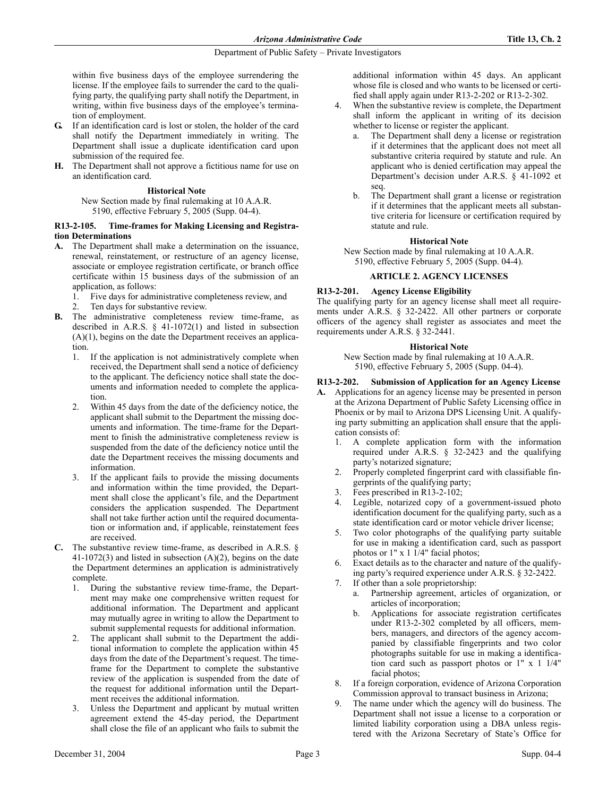within five business days of the employee surrendering the license. If the employee fails to surrender the card to the qualifying party, the qualifying party shall notify the Department, in writing, within five business days of the employee's termination of employment.

- **G.** If an identification card is lost or stolen, the holder of the card shall notify the Department immediately in writing. The Department shall issue a duplicate identification card upon submission of the required fee.
- **H.** The Department shall not approve a fictitious name for use on an identification card.

# **Historical Note**

New Section made by final rulemaking at 10 A.A.R. 5190, effective February 5, 2005 (Supp. 04-4).

## **R13-2-105. Time-frames for Making Licensing and Registration Determinations**

- **A.** The Department shall make a determination on the issuance, renewal, reinstatement, or restructure of an agency license, associate or employee registration certificate, or branch office certificate within 15 business days of the submission of an application, as follows:
	- 1. Five days for administrative completeness review, and
	- 2. Ten days for substantive review.
- **B.** The administrative completeness review time-frame, as described in A.R.S.  $\S$  41-1072(1) and listed in subsection  $(A)(1)$ , begins on the date the Department receives an application.
	- 1. If the application is not administratively complete when received, the Department shall send a notice of deficiency to the applicant. The deficiency notice shall state the documents and information needed to complete the application.
	- 2. Within 45 days from the date of the deficiency notice, the applicant shall submit to the Department the missing documents and information. The time-frame for the Department to finish the administrative completeness review is suspended from the date of the deficiency notice until the date the Department receives the missing documents and information.
	- 3. If the applicant fails to provide the missing documents and information within the time provided, the Department shall close the applicant's file, and the Department considers the application suspended. The Department shall not take further action until the required documentation or information and, if applicable, reinstatement fees are received.
- **C.** The substantive review time-frame, as described in A.R.S. § 41-1072(3) and listed in subsection (A)(2), begins on the date the Department determines an application is administratively complete.
	- 1. During the substantive review time-frame, the Department may make one comprehensive written request for additional information. The Department and applicant may mutually agree in writing to allow the Department to submit supplemental requests for additional information.
	- 2. The applicant shall submit to the Department the additional information to complete the application within 45 days from the date of the Department's request. The timeframe for the Department to complete the substantive review of the application is suspended from the date of the request for additional information until the Department receives the additional information.
	- 3. Unless the Department and applicant by mutual written agreement extend the 45-day period, the Department shall close the file of an applicant who fails to submit the

additional information within 45 days. An applicant whose file is closed and who wants to be licensed or certified shall apply again under R13-2-202 or R13-2-302.

- When the substantive review is complete, the Department shall inform the applicant in writing of its decision whether to license or register the applicant.
	- a. The Department shall deny a license or registration if it determines that the applicant does not meet all substantive criteria required by statute and rule. An applicant who is denied certification may appeal the Department's decision under A.R.S. § 41-1092 et seq.
	- b. The Department shall grant a license or registration if it determines that the applicant meets all substantive criteria for licensure or certification required by statute and rule.

# **Historical Note**

New Section made by final rulemaking at 10 A.A.R. 5190, effective February 5, 2005 (Supp. 04-4).

# **ARTICLE 2. AGENCY LICENSES**

# **R13-2-201. Agency License Eligibility**

The qualifying party for an agency license shall meet all requirements under A.R.S. § 32-2422. All other partners or corporate officers of the agency shall register as associates and meet the requirements under A.R.S. § 32-2441.

### **Historical Note**

New Section made by final rulemaking at 10 A.A.R. 5190, effective February 5, 2005 (Supp. 04-4).

# **R13-2-202. Submission of Application for an Agency License**

- **A.** Applications for an agency license may be presented in person at the Arizona Department of Public Safety Licensing office in Phoenix or by mail to Arizona DPS Licensing Unit. A qualifying party submitting an application shall ensure that the application consists of:
	- 1. A complete application form with the information required under A.R.S. § 32-2423 and the qualifying party's notarized signature;
	- 2. Properly completed fingerprint card with classifiable fingerprints of the qualifying party;
	- 3. Fees prescribed in R13-2-102;
	- 4. Legible, notarized copy of a government-issued photo identification document for the qualifying party, such as a state identification card or motor vehicle driver license;
	- Two color photographs of the qualifying party suitable for use in making a identification card, such as passport photos or 1" x 1 1/4" facial photos;
	- 6. Exact details as to the character and nature of the qualifying party's required experience under A.R.S. § 32-2422.
	- 7. If other than a sole proprietorship:
		- a. Partnership agreement, articles of organization, or articles of incorporation;
		- b. Applications for associate registration certificates under R13-2-302 completed by all officers, members, managers, and directors of the agency accompanied by classifiable fingerprints and two color photographs suitable for use in making a identification card such as passport photos or 1" x 1 1/4" facial photos;
	- 8. If a foreign corporation, evidence of Arizona Corporation Commission approval to transact business in Arizona;
	- The name under which the agency will do business. The Department shall not issue a license to a corporation or limited liability corporation using a DBA unless registered with the Arizona Secretary of State's Office for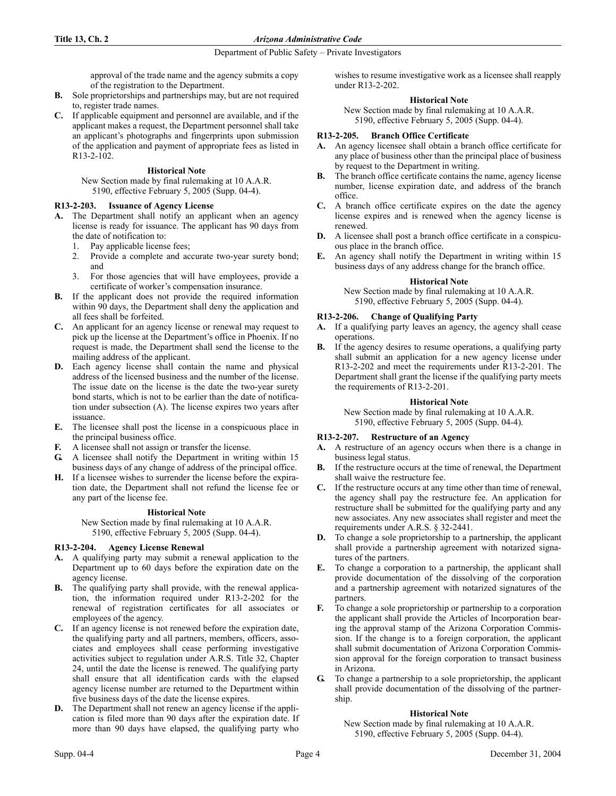## **Title 13, Ch. 2** *Arizona Administrative Code*

# Department of Public Safety – Private Investigators

approval of the trade name and the agency submits a copy of the registration to the Department.

- **B.** Sole proprietorships and partnerships may, but are not required to, register trade names.
- **C.** If applicable equipment and personnel are available, and if the applicant makes a request, the Department personnel shall take an applicant's photographs and fingerprints upon submission of the application and payment of appropriate fees as listed in R13-2-102.

# **Historical Note**

New Section made by final rulemaking at 10 A.A.R. 5190, effective February 5, 2005 (Supp. 04-4).

# **R13-2-203. Issuance of Agency License**

- **A.** The Department shall notify an applicant when an agency license is ready for issuance. The applicant has 90 days from the date of notification to:
	- 1. Pay applicable license fees;
	- 2. Provide a complete and accurate two-year surety bond; and
	- 3. For those agencies that will have employees, provide a certificate of worker's compensation insurance.
- **B.** If the applicant does not provide the required information within 90 days, the Department shall deny the application and all fees shall be forfeited.
- **C.** An applicant for an agency license or renewal may request to pick up the license at the Department's office in Phoenix. If no request is made, the Department shall send the license to the mailing address of the applicant.
- **D.** Each agency license shall contain the name and physical address of the licensed business and the number of the license. The issue date on the license is the date the two-year surety bond starts, which is not to be earlier than the date of notification under subsection (A). The license expires two years after issuance.
- **E.** The licensee shall post the license in a conspicuous place in the principal business office.
- **F.** A licensee shall not assign or transfer the license.
- **G.** A licensee shall notify the Department in writing within 15 business days of any change of address of the principal office.
- **H.** If a licensee wishes to surrender the license before the expiration date, the Department shall not refund the license fee or any part of the license fee.

### **Historical Note**

New Section made by final rulemaking at 10 A.A.R. 5190, effective February 5, 2005 (Supp. 04-4).

# **R13-2-204. Agency License Renewal**

- **A.** A qualifying party may submit a renewal application to the Department up to 60 days before the expiration date on the agency license.
- **B.** The qualifying party shall provide, with the renewal application, the information required under R13-2-202 for the renewal of registration certificates for all associates or employees of the agency.
- **C.** If an agency license is not renewed before the expiration date, the qualifying party and all partners, members, officers, associates and employees shall cease performing investigative activities subject to regulation under A.R.S. Title 32, Chapter 24, until the date the license is renewed. The qualifying party shall ensure that all identification cards with the elapsed agency license number are returned to the Department within five business days of the date the license expires.
- **D.** The Department shall not renew an agency license if the application is filed more than 90 days after the expiration date. If more than 90 days have elapsed, the qualifying party who

wishes to resume investigative work as a licensee shall reapply under R13-2-202.

# **Historical Note**

New Section made by final rulemaking at 10 A.A.R. 5190, effective February 5, 2005 (Supp. 04-4).

# **R13-2-205. Branch Office Certificate**

- **A.** An agency licensee shall obtain a branch office certificate for any place of business other than the principal place of business by request to the Department in writing.
- **B.** The branch office certificate contains the name, agency license number, license expiration date, and address of the branch office.
- **C.** A branch office certificate expires on the date the agency license expires and is renewed when the agency license is renewed.
- **D.** A licensee shall post a branch office certificate in a conspicuous place in the branch office.
- **E.** An agency shall notify the Department in writing within 15 business days of any address change for the branch office.

# **Historical Note**

New Section made by final rulemaking at 10 A.A.R. 5190, effective February 5, 2005 (Supp. 04-4).

# **R13-2-206. Change of Qualifying Party**

- **A.** If a qualifying party leaves an agency, the agency shall cease operations.
- **B.** If the agency desires to resume operations, a qualifying party shall submit an application for a new agency license under R13-2-202 and meet the requirements under R13-2-201. The Department shall grant the license if the qualifying party meets the requirements of R13-2-201.

# **Historical Note**

New Section made by final rulemaking at 10 A.A.R. 5190, effective February 5, 2005 (Supp. 04-4).

# **R13-2-207. Restructure of an Agency**

- **A.** A restructure of an agency occurs when there is a change in business legal status.
- **B.** If the restructure occurs at the time of renewal, the Department shall waive the restructure fee.
- **C.** If the restructure occurs at any time other than time of renewal, the agency shall pay the restructure fee. An application for restructure shall be submitted for the qualifying party and any new associates. Any new associates shall register and meet the requirements under A.R.S. § 32-2441.
- **D.** To change a sole proprietorship to a partnership, the applicant shall provide a partnership agreement with notarized signatures of the partners.
- **E.** To change a corporation to a partnership, the applicant shall provide documentation of the dissolving of the corporation and a partnership agreement with notarized signatures of the partners.
- **F.** To change a sole proprietorship or partnership to a corporation the applicant shall provide the Articles of Incorporation bearing the approval stamp of the Arizona Corporation Commission. If the change is to a foreign corporation, the applicant shall submit documentation of Arizona Corporation Commission approval for the foreign corporation to transact business in Arizona.
- **G.** To change a partnership to a sole proprietorship, the applicant shall provide documentation of the dissolving of the partnership.

# **Historical Note**

New Section made by final rulemaking at 10 A.A.R. 5190, effective February 5, 2005 (Supp. 04-4).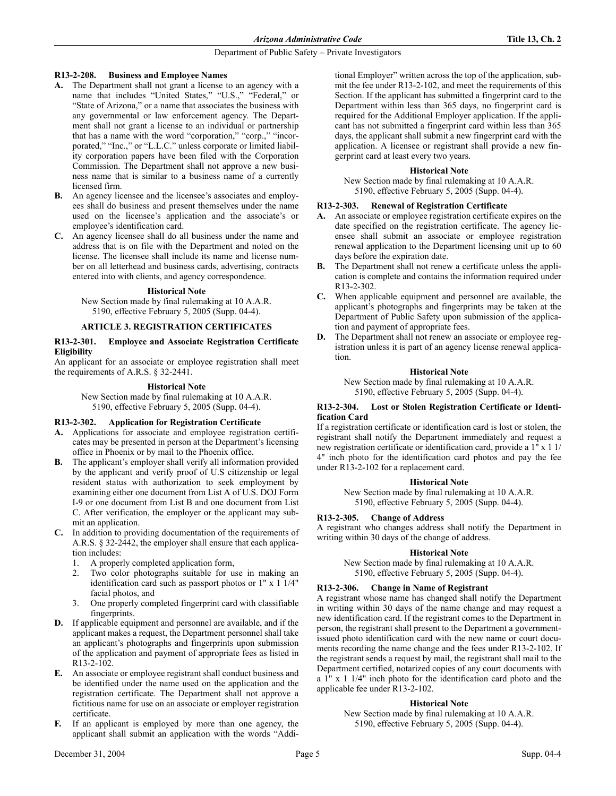### **R13-2-208. Business and Employee Names**

- **A.** The Department shall not grant a license to an agency with a name that includes "United States," "U.S.," "Federal," or "State of Arizona," or a name that associates the business with any governmental or law enforcement agency. The Department shall not grant a license to an individual or partnership that has a name with the word "corporation," "corp.," "incorporated," "Inc.," or "L.L.C." unless corporate or limited liability corporation papers have been filed with the Corporation Commission. The Department shall not approve a new business name that is similar to a business name of a currently licensed firm.
- **B.** An agency licensee and the licensee's associates and employees shall do business and present themselves under the name used on the licensee's application and the associate's or employee's identification card.
- **C.** An agency licensee shall do all business under the name and address that is on file with the Department and noted on the license. The licensee shall include its name and license number on all letterhead and business cards, advertising, contracts entered into with clients, and agency correspondence.

### **Historical Note**

New Section made by final rulemaking at 10 A.A.R. 5190, effective February 5, 2005 (Supp. 04-4).

# **ARTICLE 3. REGISTRATION CERTIFICATES**

### **R13-2-301. Employee and Associate Registration Certificate Eligibility**

An applicant for an associate or employee registration shall meet the requirements of A.R.S. § 32-2441.

# **Historical Note**

New Section made by final rulemaking at 10 A.A.R. 5190, effective February 5, 2005 (Supp. 04-4).

### **R13-2-302. Application for Registration Certificate**

- **A.** Applications for associate and employee registration certificates may be presented in person at the Department's licensing office in Phoenix or by mail to the Phoenix office.
- **B.** The applicant's employer shall verify all information provided by the applicant and verify proof of U.S citizenship or legal resident status with authorization to seek employment by examining either one document from List A of U.S. DOJ Form I-9 or one document from List B and one document from List C. After verification, the employer or the applicant may submit an application.
- **C.** In addition to providing documentation of the requirements of A.R.S. § 32-2442, the employer shall ensure that each application includes:
	- 1. A properly completed application form,
	- 2. Two color photographs suitable for use in making an identification card such as passport photos or 1" x 1 1/4" facial photos, and
	- 3. One properly completed fingerprint card with classifiable fingerprints.
- **D.** If applicable equipment and personnel are available, and if the applicant makes a request, the Department personnel shall take an applicant's photographs and fingerprints upon submission of the application and payment of appropriate fees as listed in R13-2-102.
- **E.** An associate or employee registrant shall conduct business and be identified under the name used on the application and the registration certificate. The Department shall not approve a fictitious name for use on an associate or employer registration certificate.
- **F.** If an applicant is employed by more than one agency, the applicant shall submit an application with the words "Addi-

tional Employer" written across the top of the application, submit the fee under R13-2-102, and meet the requirements of this Section. If the applicant has submitted a fingerprint card to the Department within less than 365 days, no fingerprint card is required for the Additional Employer application. If the applicant has not submitted a fingerprint card within less than 365 days, the applicant shall submit a new fingerprint card with the application. A licensee or registrant shall provide a new fingerprint card at least every two years.

# **Historical Note**

New Section made by final rulemaking at 10 A.A.R. 5190, effective February 5, 2005 (Supp. 04-4).

# **R13-2-303. Renewal of Registration Certificate**

- **A.** An associate or employee registration certificate expires on the date specified on the registration certificate. The agency licensee shall submit an associate or employee registration renewal application to the Department licensing unit up to 60 days before the expiration date.
- **B.** The Department shall not renew a certificate unless the application is complete and contains the information required under R13-2-302.
- **C.** When applicable equipment and personnel are available, the applicant's photographs and fingerprints may be taken at the Department of Public Safety upon submission of the application and payment of appropriate fees.
- The Department shall not renew an associate or employee registration unless it is part of an agency license renewal application.

# **Historical Note**

New Section made by final rulemaking at 10 A.A.R. 5190, effective February 5, 2005 (Supp. 04-4).

### **R13-2-304. Lost or Stolen Registration Certificate or Identification Card**

If a registration certificate or identification card is lost or stolen, the registrant shall notify the Department immediately and request a new registration certificate or identification card, provide a 1" x 1 1/ 4" inch photo for the identification card photos and pay the fee under R13-2-102 for a replacement card.

### **Historical Note**

New Section made by final rulemaking at 10 A.A.R. 5190, effective February 5, 2005 (Supp. 04-4).

# **R13-2-305. Change of Address**

A registrant who changes address shall notify the Department in writing within 30 days of the change of address.

### **Historical Note**

New Section made by final rulemaking at 10 A.A.R. 5190, effective February 5, 2005 (Supp. 04-4).

# **R13-2-306. Change in Name of Registrant**

A registrant whose name has changed shall notify the Department in writing within 30 days of the name change and may request a new identification card. If the registrant comes to the Department in person, the registrant shall present to the Department a governmentissued photo identification card with the new name or court documents recording the name change and the fees under R13-2-102. If the registrant sends a request by mail, the registrant shall mail to the Department certified, notarized copies of any court documents with a 1" x 1 1/4" inch photo for the identification card photo and the applicable fee under R13-2-102.

# **Historical Note**

New Section made by final rulemaking at 10 A.A.R. 5190, effective February 5, 2005 (Supp. 04-4).